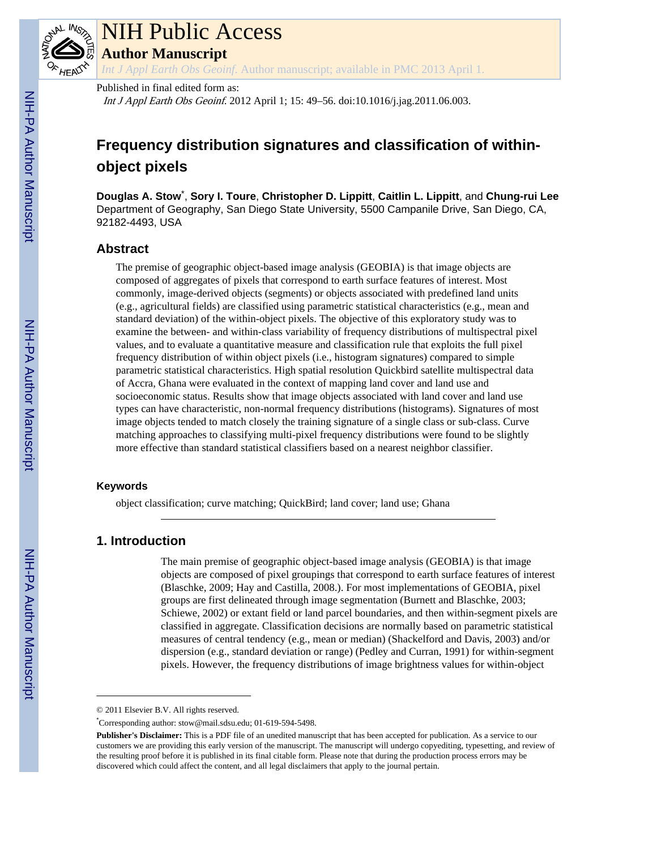

### NIH Public Access

**Author Manuscript**

*Int J Appl Earth Obs Geoinf*. Author manuscript; available in PMC 2013 April 1.

Published in final edited form as:

Int J Appl Earth Obs Geoinf. 2012 April 1; 15: 49–56. doi:10.1016/j.jag.2011.06.003.

### **Frequency distribution signatures and classification of withinobject pixels**

**Douglas A. Stow**\* , **Sory I. Toure**, **Christopher D. Lippitt**, **Caitlin L. Lippitt**, and **Chung-rui Lee** Department of Geography, San Diego State University, 5500 Campanile Drive, San Diego, CA, 92182-4493, USA

#### **Abstract**

The premise of geographic object-based image analysis (GEOBIA) is that image objects are composed of aggregates of pixels that correspond to earth surface features of interest. Most commonly, image-derived objects (segments) or objects associated with predefined land units (e.g., agricultural fields) are classified using parametric statistical characteristics (e.g., mean and standard deviation) of the within-object pixels. The objective of this exploratory study was to examine the between- and within-class variability of frequency distributions of multispectral pixel values, and to evaluate a quantitative measure and classification rule that exploits the full pixel frequency distribution of within object pixels (i.e., histogram signatures) compared to simple parametric statistical characteristics. High spatial resolution Quickbird satellite multispectral data of Accra, Ghana were evaluated in the context of mapping land cover and land use and socioeconomic status. Results show that image objects associated with land cover and land use types can have characteristic, non-normal frequency distributions (histograms). Signatures of most image objects tended to match closely the training signature of a single class or sub-class. Curve matching approaches to classifying multi-pixel frequency distributions were found to be slightly more effective than standard statistical classifiers based on a nearest neighbor classifier.

#### **Keywords**

object classification; curve matching; QuickBird; land cover; land use; Ghana

#### **1. Introduction**

The main premise of geographic object-based image analysis (GEOBIA) is that image objects are composed of pixel groupings that correspond to earth surface features of interest (Blaschke, 2009; Hay and Castilla, 2008.). For most implementations of GEOBIA, pixel groups are first delineated through image segmentation (Burnett and Blaschke, 2003; Schiewe, 2002) or extant field or land parcel boundaries, and then within-segment pixels are classified in aggregate. Classification decisions are normally based on parametric statistical measures of central tendency (e.g., mean or median) (Shackelford and Davis, 2003) and/or dispersion (e.g., standard deviation or range) (Pedley and Curran, 1991) for within-segment pixels. However, the frequency distributions of image brightness values for within-object

<sup>© 2011</sup> Elsevier B.V. All rights reserved.

<sup>\*</sup>Corresponding author: stow@mail.sdsu.edu; 01-619-594-5498.

**Publisher's Disclaimer:** This is a PDF file of an unedited manuscript that has been accepted for publication. As a service to our customers we are providing this early version of the manuscript. The manuscript will undergo copyediting, typesetting, and review of the resulting proof before it is published in its final citable form. Please note that during the production process errors may be discovered which could affect the content, and all legal disclaimers that apply to the journal pertain.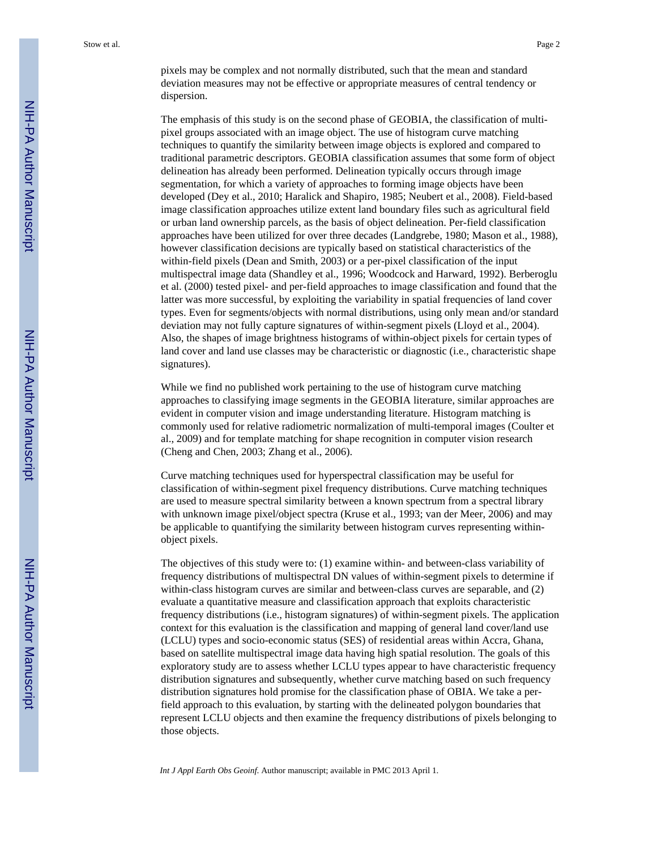Stow et al. Page 2

pixels may be complex and not normally distributed, such that the mean and standard deviation measures may not be effective or appropriate measures of central tendency or dispersion.

The emphasis of this study is on the second phase of GEOBIA, the classification of multipixel groups associated with an image object. The use of histogram curve matching techniques to quantify the similarity between image objects is explored and compared to traditional parametric descriptors. GEOBIA classification assumes that some form of object delineation has already been performed. Delineation typically occurs through image segmentation, for which a variety of approaches to forming image objects have been developed (Dey et al., 2010; Haralick and Shapiro, 1985; Neubert et al., 2008). Field-based image classification approaches utilize extent land boundary files such as agricultural field or urban land ownership parcels, as the basis of object delineation. Per-field classification approaches have been utilized for over three decades (Landgrebe, 1980; Mason et al., 1988), however classification decisions are typically based on statistical characteristics of the within-field pixels (Dean and Smith, 2003) or a per-pixel classification of the input multispectral image data (Shandley et al., 1996; Woodcock and Harward, 1992). Berberoglu et al. (2000) tested pixel- and per-field approaches to image classification and found that the latter was more successful, by exploiting the variability in spatial frequencies of land cover types. Even for segments/objects with normal distributions, using only mean and/or standard deviation may not fully capture signatures of within-segment pixels (Lloyd et al., 2004). Also, the shapes of image brightness histograms of within-object pixels for certain types of land cover and land use classes may be characteristic or diagnostic (i.e., characteristic shape signatures).

While we find no published work pertaining to the use of histogram curve matching approaches to classifying image segments in the GEOBIA literature, similar approaches are evident in computer vision and image understanding literature. Histogram matching is commonly used for relative radiometric normalization of multi-temporal images (Coulter et al., 2009) and for template matching for shape recognition in computer vision research (Cheng and Chen, 2003; Zhang et al., 2006).

Curve matching techniques used for hyperspectral classification may be useful for classification of within-segment pixel frequency distributions. Curve matching techniques are used to measure spectral similarity between a known spectrum from a spectral library with unknown image pixel/object spectra (Kruse et al., 1993; van der Meer, 2006) and may be applicable to quantifying the similarity between histogram curves representing withinobject pixels.

The objectives of this study were to: (1) examine within- and between-class variability of frequency distributions of multispectral DN values of within-segment pixels to determine if within-class histogram curves are similar and between-class curves are separable, and (2) evaluate a quantitative measure and classification approach that exploits characteristic frequency distributions (i.e., histogram signatures) of within-segment pixels. The application context for this evaluation is the classification and mapping of general land cover/land use (LCLU) types and socio-economic status (SES) of residential areas within Accra, Ghana, based on satellite multispectral image data having high spatial resolution. The goals of this exploratory study are to assess whether LCLU types appear to have characteristic frequency distribution signatures and subsequently, whether curve matching based on such frequency distribution signatures hold promise for the classification phase of OBIA. We take a perfield approach to this evaluation, by starting with the delineated polygon boundaries that represent LCLU objects and then examine the frequency distributions of pixels belonging to those objects.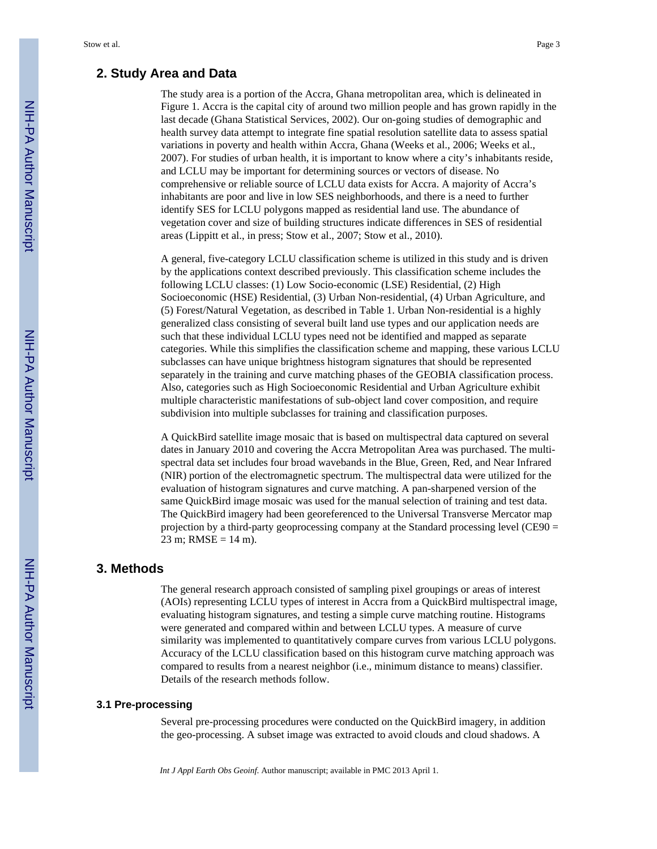#### **2. Study Area and Data**

The study area is a portion of the Accra, Ghana metropolitan area, which is delineated in Figure 1. Accra is the capital city of around two million people and has grown rapidly in the last decade (Ghana Statistical Services, 2002). Our on-going studies of demographic and health survey data attempt to integrate fine spatial resolution satellite data to assess spatial variations in poverty and health within Accra, Ghana (Weeks et al., 2006; Weeks et al., 2007). For studies of urban health, it is important to know where a city's inhabitants reside, and LCLU may be important for determining sources or vectors of disease. No comprehensive or reliable source of LCLU data exists for Accra. A majority of Accra's inhabitants are poor and live in low SES neighborhoods, and there is a need to further identify SES for LCLU polygons mapped as residential land use. The abundance of vegetation cover and size of building structures indicate differences in SES of residential areas (Lippitt et al., in press; Stow et al., 2007; Stow et al., 2010).

A general, five-category LCLU classification scheme is utilized in this study and is driven by the applications context described previously. This classification scheme includes the following LCLU classes: (1) Low Socio-economic (LSE) Residential, (2) High Socioeconomic (HSE) Residential, (3) Urban Non-residential, (4) Urban Agriculture, and (5) Forest/Natural Vegetation, as described in Table 1. Urban Non-residential is a highly generalized class consisting of several built land use types and our application needs are such that these individual LCLU types need not be identified and mapped as separate categories. While this simplifies the classification scheme and mapping, these various LCLU subclasses can have unique brightness histogram signatures that should be represented separately in the training and curve matching phases of the GEOBIA classification process. Also, categories such as High Socioeconomic Residential and Urban Agriculture exhibit multiple characteristic manifestations of sub-object land cover composition, and require subdivision into multiple subclasses for training and classification purposes.

A QuickBird satellite image mosaic that is based on multispectral data captured on several dates in January 2010 and covering the Accra Metropolitan Area was purchased. The multispectral data set includes four broad wavebands in the Blue, Green, Red, and Near Infrared (NIR) portion of the electromagnetic spectrum. The multispectral data were utilized for the evaluation of histogram signatures and curve matching. A pan-sharpened version of the same QuickBird image mosaic was used for the manual selection of training and test data. The QuickBird imagery had been georeferenced to the Universal Transverse Mercator map projection by a third-party geoprocessing company at the Standard processing level (CE90 = 23 m;  $RMSE = 14$  m).

#### **3. Methods**

The general research approach consisted of sampling pixel groupings or areas of interest (AOIs) representing LCLU types of interest in Accra from a QuickBird multispectral image, evaluating histogram signatures, and testing a simple curve matching routine. Histograms were generated and compared within and between LCLU types. A measure of curve similarity was implemented to quantitatively compare curves from various LCLU polygons. Accuracy of the LCLU classification based on this histogram curve matching approach was compared to results from a nearest neighbor (i.e., minimum distance to means) classifier. Details of the research methods follow.

#### **3.1 Pre-processing**

Several pre-processing procedures were conducted on the QuickBird imagery, in addition the geo-processing. A subset image was extracted to avoid clouds and cloud shadows. A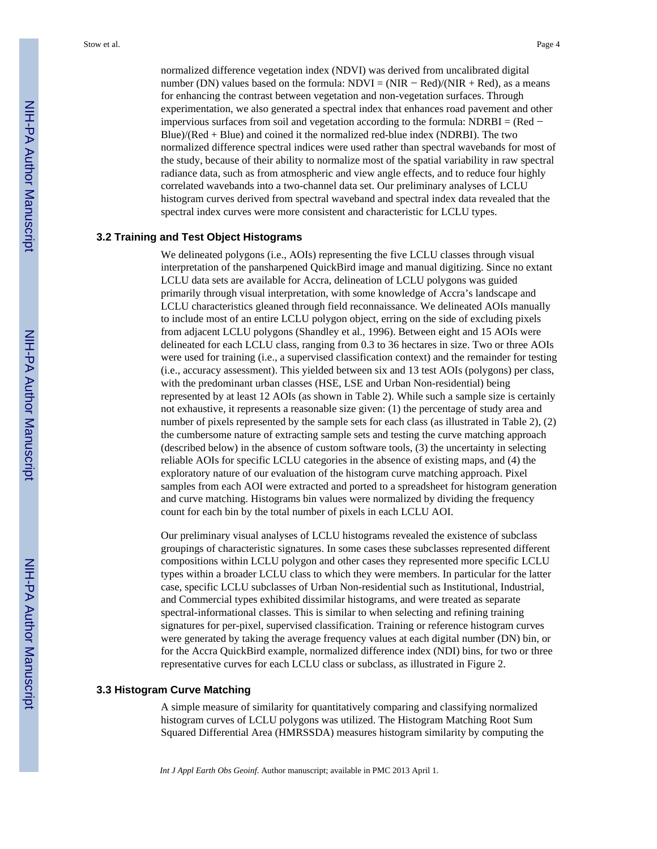normalized difference vegetation index (NDVI) was derived from uncalibrated digital number (DN) values based on the formula:  $NDVI = (NIR - Red)/(NIR + Red)$ , as a means for enhancing the contrast between vegetation and non-vegetation surfaces. Through experimentation, we also generated a spectral index that enhances road pavement and other impervious surfaces from soil and vegetation according to the formula: NDRBI = (Red  $-$ Blue)/(Red + Blue) and coined it the normalized red-blue index (NDRBI). The two normalized difference spectral indices were used rather than spectral wavebands for most of the study, because of their ability to normalize most of the spatial variability in raw spectral radiance data, such as from atmospheric and view angle effects, and to reduce four highly correlated wavebands into a two-channel data set. Our preliminary analyses of LCLU histogram curves derived from spectral waveband and spectral index data revealed that the spectral index curves were more consistent and characteristic for LCLU types.

#### **3.2 Training and Test Object Histograms**

We delineated polygons (i.e., AOIs) representing the five LCLU classes through visual interpretation of the pansharpened QuickBird image and manual digitizing. Since no extant LCLU data sets are available for Accra, delineation of LCLU polygons was guided primarily through visual interpretation, with some knowledge of Accra's landscape and LCLU characteristics gleaned through field reconnaissance. We delineated AOIs manually to include most of an entire LCLU polygon object, erring on the side of excluding pixels from adjacent LCLU polygons (Shandley et al., 1996). Between eight and 15 AOIs were delineated for each LCLU class, ranging from 0.3 to 36 hectares in size. Two or three AOIs were used for training (i.e., a supervised classification context) and the remainder for testing (i.e., accuracy assessment). This yielded between six and 13 test AOIs (polygons) per class, with the predominant urban classes (HSE, LSE and Urban Non-residential) being represented by at least 12 AOIs (as shown in Table 2). While such a sample size is certainly not exhaustive, it represents a reasonable size given: (1) the percentage of study area and number of pixels represented by the sample sets for each class (as illustrated in Table 2), (2) the cumbersome nature of extracting sample sets and testing the curve matching approach (described below) in the absence of custom software tools, (3) the uncertainty in selecting reliable AOIs for specific LCLU categories in the absence of existing maps, and (4) the exploratory nature of our evaluation of the histogram curve matching approach. Pixel samples from each AOI were extracted and ported to a spreadsheet for histogram generation and curve matching. Histograms bin values were normalized by dividing the frequency count for each bin by the total number of pixels in each LCLU AOI.

Our preliminary visual analyses of LCLU histograms revealed the existence of subclass groupings of characteristic signatures. In some cases these subclasses represented different compositions within LCLU polygon and other cases they represented more specific LCLU types within a broader LCLU class to which they were members. In particular for the latter case, specific LCLU subclasses of Urban Non-residential such as Institutional, Industrial, and Commercial types exhibited dissimilar histograms, and were treated as separate spectral-informational classes. This is similar to when selecting and refining training signatures for per-pixel, supervised classification. Training or reference histogram curves were generated by taking the average frequency values at each digital number (DN) bin, or for the Accra QuickBird example, normalized difference index (NDI) bins, for two or three representative curves for each LCLU class or subclass, as illustrated in Figure 2.

#### **3.3 Histogram Curve Matching**

A simple measure of similarity for quantitatively comparing and classifying normalized histogram curves of LCLU polygons was utilized. The Histogram Matching Root Sum Squared Differential Area (HMRSSDA) measures histogram similarity by computing the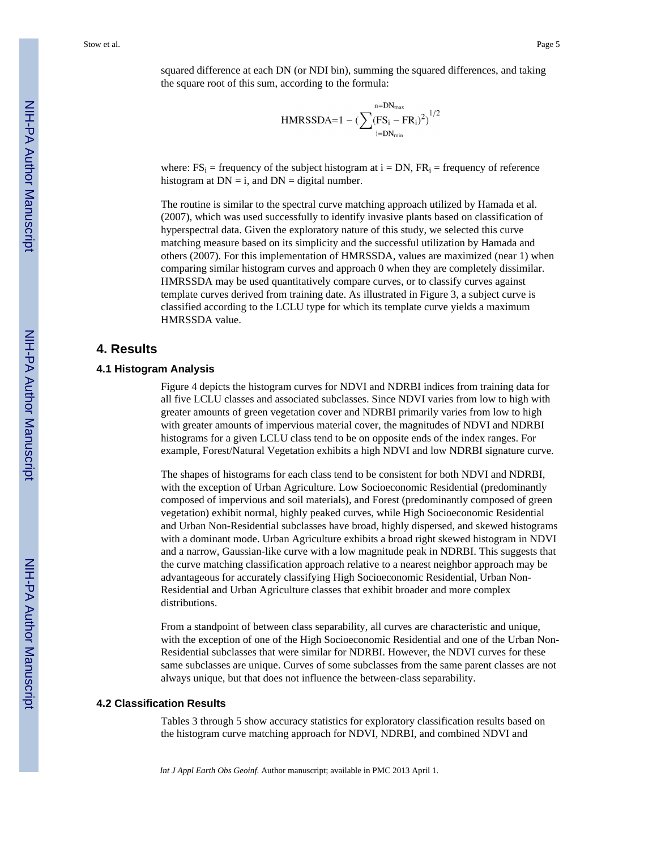Stow et al. Page 5

squared difference at each DN (or NDI bin), summing the squared differences, and taking the square root of this sum, according to the formula:

where:  $FS_i$  = frequency of the subject histogram at  $i = DN$ ,  $FR_i$  = frequency of reference histogram at  $DN = i$ , and  $DN =$  digital number.

The routine is similar to the spectral curve matching approach utilized by Hamada et al. (2007), which was used successfully to identify invasive plants based on classification of hyperspectral data. Given the exploratory nature of this study, we selected this curve matching measure based on its simplicity and the successful utilization by Hamada and others (2007). For this implementation of HMRSSDA, values are maximized (near 1) when comparing similar histogram curves and approach 0 when they are completely dissimilar. HMRSSDA may be used quantitatively compare curves, or to classify curves against template curves derived from training date. As illustrated in Figure 3, a subject curve is classified according to the LCLU type for which its template curve yields a maximum HMRSSDA value.

#### **4. Results**

#### **4.1 Histogram Analysis**

Figure 4 depicts the histogram curves for NDVI and NDRBI indices from training data for all five LCLU classes and associated subclasses. Since NDVI varies from low to high with greater amounts of green vegetation cover and NDRBI primarily varies from low to high with greater amounts of impervious material cover, the magnitudes of NDVI and NDRBI histograms for a given LCLU class tend to be on opposite ends of the index ranges. For example, Forest/Natural Vegetation exhibits a high NDVI and low NDRBI signature curve.

The shapes of histograms for each class tend to be consistent for both NDVI and NDRBI, with the exception of Urban Agriculture. Low Socioeconomic Residential (predominantly composed of impervious and soil materials), and Forest (predominantly composed of green vegetation) exhibit normal, highly peaked curves, while High Socioeconomic Residential and Urban Non-Residential subclasses have broad, highly dispersed, and skewed histograms with a dominant mode. Urban Agriculture exhibits a broad right skewed histogram in NDVI and a narrow, Gaussian-like curve with a low magnitude peak in NDRBI. This suggests that the curve matching classification approach relative to a nearest neighbor approach may be advantageous for accurately classifying High Socioeconomic Residential, Urban Non-Residential and Urban Agriculture classes that exhibit broader and more complex distributions.

From a standpoint of between class separability, all curves are characteristic and unique, with the exception of one of the High Socioeconomic Residential and one of the Urban Non-Residential subclasses that were similar for NDRBI. However, the NDVI curves for these same subclasses are unique. Curves of some subclasses from the same parent classes are not always unique, but that does not influence the between-class separability.

#### **4.2 Classification Results**

Tables 3 through 5 show accuracy statistics for exploratory classification results based on the histogram curve matching approach for NDVI, NDRBI, and combined NDVI and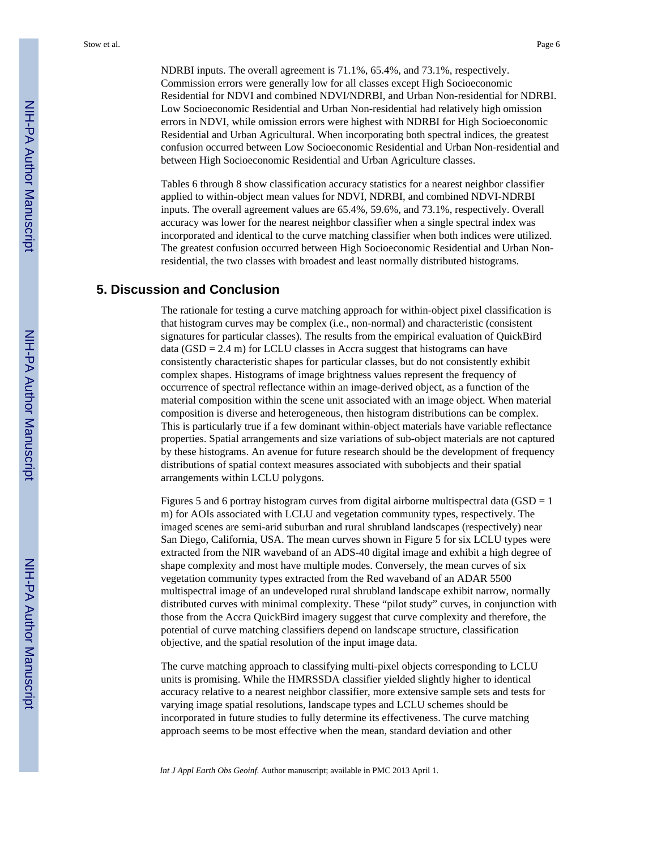NDRBI inputs. The overall agreement is 71.1%, 65.4%, and 73.1%, respectively. Commission errors were generally low for all classes except High Socioeconomic Residential for NDVI and combined NDVI/NDRBI, and Urban Non-residential for NDRBI. Low Socioeconomic Residential and Urban Non-residential had relatively high omission errors in NDVI, while omission errors were highest with NDRBI for High Socioeconomic Residential and Urban Agricultural. When incorporating both spectral indices, the greatest confusion occurred between Low Socioeconomic Residential and Urban Non-residential and between High Socioeconomic Residential and Urban Agriculture classes.

Tables 6 through 8 show classification accuracy statistics for a nearest neighbor classifier applied to within-object mean values for NDVI, NDRBI, and combined NDVI-NDRBI inputs. The overall agreement values are 65.4%, 59.6%, and 73.1%, respectively. Overall accuracy was lower for the nearest neighbor classifier when a single spectral index was incorporated and identical to the curve matching classifier when both indices were utilized. The greatest confusion occurred between High Socioeconomic Residential and Urban Nonresidential, the two classes with broadest and least normally distributed histograms.

#### **5. Discussion and Conclusion**

The rationale for testing a curve matching approach for within-object pixel classification is that histogram curves may be complex (i.e., non-normal) and characteristic (consistent signatures for particular classes). The results from the empirical evaluation of QuickBird data  $(GSD = 2.4 \text{ m})$  for LCLU classes in Accra suggest that histograms can have consistently characteristic shapes for particular classes, but do not consistently exhibit complex shapes. Histograms of image brightness values represent the frequency of occurrence of spectral reflectance within an image-derived object, as a function of the material composition within the scene unit associated with an image object. When material composition is diverse and heterogeneous, then histogram distributions can be complex. This is particularly true if a few dominant within-object materials have variable reflectance properties. Spatial arrangements and size variations of sub-object materials are not captured by these histograms. An avenue for future research should be the development of frequency distributions of spatial context measures associated with subobjects and their spatial arrangements within LCLU polygons.

Figures 5 and 6 portray histogram curves from digital airborne multispectral data ( $GSD = 1$ ) m) for AOIs associated with LCLU and vegetation community types, respectively. The imaged scenes are semi-arid suburban and rural shrubland landscapes (respectively) near San Diego, California, USA. The mean curves shown in Figure 5 for six LCLU types were extracted from the NIR waveband of an ADS-40 digital image and exhibit a high degree of shape complexity and most have multiple modes. Conversely, the mean curves of six vegetation community types extracted from the Red waveband of an ADAR 5500 multispectral image of an undeveloped rural shrubland landscape exhibit narrow, normally distributed curves with minimal complexity. These "pilot study" curves, in conjunction with those from the Accra QuickBird imagery suggest that curve complexity and therefore, the potential of curve matching classifiers depend on landscape structure, classification objective, and the spatial resolution of the input image data.

The curve matching approach to classifying multi-pixel objects corresponding to LCLU units is promising. While the HMRSSDA classifier yielded slightly higher to identical accuracy relative to a nearest neighbor classifier, more extensive sample sets and tests for varying image spatial resolutions, landscape types and LCLU schemes should be incorporated in future studies to fully determine its effectiveness. The curve matching approach seems to be most effective when the mean, standard deviation and other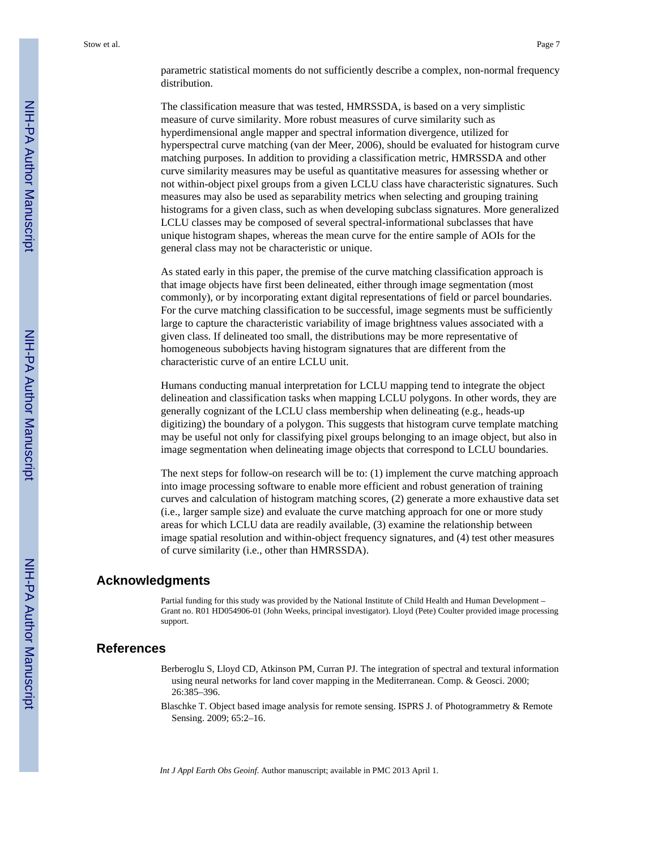parametric statistical moments do not sufficiently describe a complex, non-normal frequency distribution.

The classification measure that was tested, HMRSSDA, is based on a very simplistic measure of curve similarity. More robust measures of curve similarity such as hyperdimensional angle mapper and spectral information divergence, utilized for hyperspectral curve matching (van der Meer, 2006), should be evaluated for histogram curve matching purposes. In addition to providing a classification metric, HMRSSDA and other curve similarity measures may be useful as quantitative measures for assessing whether or not within-object pixel groups from a given LCLU class have characteristic signatures. Such measures may also be used as separability metrics when selecting and grouping training histograms for a given class, such as when developing subclass signatures. More generalized LCLU classes may be composed of several spectral-informational subclasses that have unique histogram shapes, whereas the mean curve for the entire sample of AOIs for the general class may not be characteristic or unique.

As stated early in this paper, the premise of the curve matching classification approach is that image objects have first been delineated, either through image segmentation (most commonly), or by incorporating extant digital representations of field or parcel boundaries. For the curve matching classification to be successful, image segments must be sufficiently large to capture the characteristic variability of image brightness values associated with a given class. If delineated too small, the distributions may be more representative of homogeneous subobjects having histogram signatures that are different from the characteristic curve of an entire LCLU unit.

Humans conducting manual interpretation for LCLU mapping tend to integrate the object delineation and classification tasks when mapping LCLU polygons. In other words, they are generally cognizant of the LCLU class membership when delineating (e.g., heads-up digitizing) the boundary of a polygon. This suggests that histogram curve template matching may be useful not only for classifying pixel groups belonging to an image object, but also in image segmentation when delineating image objects that correspond to LCLU boundaries.

The next steps for follow-on research will be to: (1) implement the curve matching approach into image processing software to enable more efficient and robust generation of training curves and calculation of histogram matching scores, (2) generate a more exhaustive data set (i.e., larger sample size) and evaluate the curve matching approach for one or more study areas for which LCLU data are readily available, (3) examine the relationship between image spatial resolution and within-object frequency signatures, and (4) test other measures of curve similarity (i.e., other than HMRSSDA).

#### **Acknowledgments**

Partial funding for this study was provided by the National Institute of Child Health and Human Development – Grant no. R01 HD054906-01 (John Weeks, principal investigator). Lloyd (Pete) Coulter provided image processing support.

#### **References**

- Berberoglu S, Lloyd CD, Atkinson PM, Curran PJ. The integration of spectral and textural information using neural networks for land cover mapping in the Mediterranean. Comp. & Geosci. 2000; 26:385–396.
- Blaschke T. Object based image analysis for remote sensing. ISPRS J. of Photogrammetry & Remote Sensing. 2009; 65:2–16.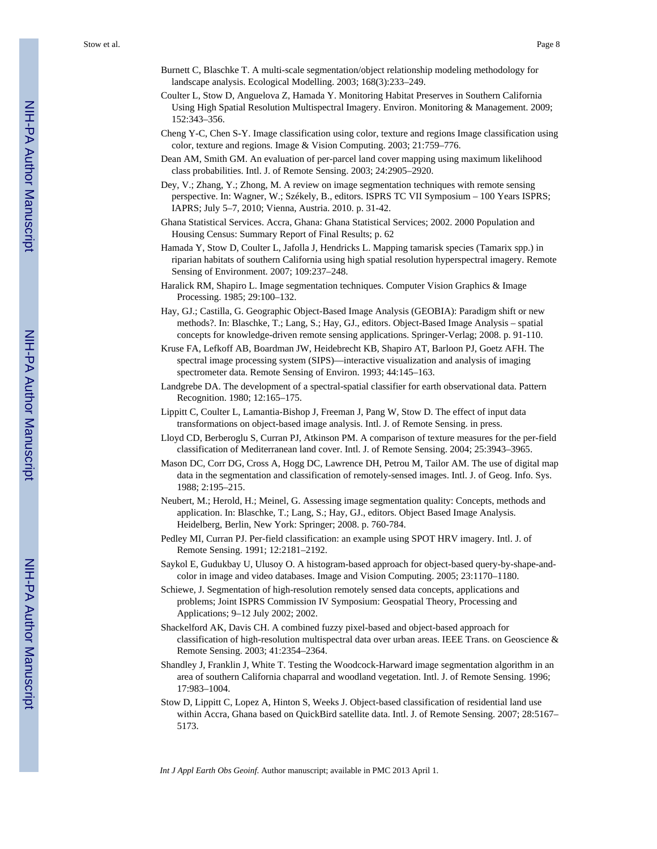- Burnett C, Blaschke T. A multi-scale segmentation/object relationship modeling methodology for landscape analysis. Ecological Modelling. 2003; 168(3):233–249.
- Coulter L, Stow D, Anguelova Z, Hamada Y. Monitoring Habitat Preserves in Southern California Using High Spatial Resolution Multispectral Imagery. Environ. Monitoring & Management. 2009; 152:343–356.
- Cheng Y-C, Chen S-Y. Image classification using color, texture and regions Image classification using color, texture and regions. Image & Vision Computing. 2003; 21:759–776.
- Dean AM, Smith GM. An evaluation of per-parcel land cover mapping using maximum likelihood class probabilities. Intl. J. of Remote Sensing. 2003; 24:2905–2920.
- Dey, V.; Zhang, Y.; Zhong, M. A review on image segmentation techniques with remote sensing perspective. In: Wagner, W.; Székely, B., editors. ISPRS TC VII Symposium – 100 Years ISPRS; IAPRS; July 5–7, 2010; Vienna, Austria. 2010. p. 31-42.
- Ghana Statistical Services. Accra, Ghana: Ghana Statistical Services; 2002. 2000 Population and Housing Census: Summary Report of Final Results; p. 62
- Hamada Y, Stow D, Coulter L, Jafolla J, Hendricks L. Mapping tamarisk species (Tamarix spp.) in riparian habitats of southern California using high spatial resolution hyperspectral imagery. Remote Sensing of Environment. 2007; 109:237–248.
- Haralick RM, Shapiro L. Image segmentation techniques. Computer Vision Graphics & Image Processing. 1985; 29:100–132.
- Hay, GJ.; Castilla, G. Geographic Object-Based Image Analysis (GEOBIA): Paradigm shift or new methods?. In: Blaschke, T.; Lang, S.; Hay, GJ., editors. Object-Based Image Analysis – spatial concepts for knowledge-driven remote sensing applications. Springer-Verlag; 2008. p. 91-110.
- Kruse FA, Lefkoff AB, Boardman JW, Heidebrecht KB, Shapiro AT, Barloon PJ, Goetz AFH. The spectral image processing system (SIPS)—interactive visualization and analysis of imaging spectrometer data. Remote Sensing of Environ. 1993; 44:145–163.
- Landgrebe DA. The development of a spectral-spatial classifier for earth observational data. Pattern Recognition. 1980; 12:165–175.
- Lippitt C, Coulter L, Lamantia-Bishop J, Freeman J, Pang W, Stow D. The effect of input data transformations on object-based image analysis. Intl. J. of Remote Sensing. in press.
- Lloyd CD, Berberoglu S, Curran PJ, Atkinson PM. A comparison of texture measures for the per-field classification of Mediterranean land cover. Intl. J. of Remote Sensing. 2004; 25:3943–3965.
- Mason DC, Corr DG, Cross A, Hogg DC, Lawrence DH, Petrou M, Tailor AM. The use of digital map data in the segmentation and classification of remotely-sensed images. Intl. J. of Geog. Info. Sys. 1988; 2:195–215.
- Neubert, M.; Herold, H.; Meinel, G. Assessing image segmentation quality: Concepts, methods and application. In: Blaschke, T.; Lang, S.; Hay, GJ., editors. Object Based Image Analysis. Heidelberg, Berlin, New York: Springer; 2008. p. 760-784.
- Pedley MI, Curran PJ. Per-field classification: an example using SPOT HRV imagery. Intl. J. of Remote Sensing. 1991; 12:2181–2192.
- Saykol E, Gudukbay U, Ulusoy O. A histogram-based approach for object-based query-by-shape-andcolor in image and video databases. Image and Vision Computing. 2005; 23:1170–1180.
- Schiewe, J. Segmentation of high-resolution remotely sensed data concepts, applications and problems; Joint ISPRS Commission IV Symposium: Geospatial Theory, Processing and Applications; 9–12 July 2002; 2002.
- Shackelford AK, Davis CH. A combined fuzzy pixel-based and object-based approach for classification of high-resolution multispectral data over urban areas. IEEE Trans. on Geoscience  $\&$ Remote Sensing. 2003; 41:2354–2364.
- Shandley J, Franklin J, White T. Testing the Woodcock-Harward image segmentation algorithm in an area of southern California chaparral and woodland vegetation. Intl. J. of Remote Sensing. 1996; 17:983–1004.
- Stow D, Lippitt C, Lopez A, Hinton S, Weeks J. Object-based classification of residential land use within Accra, Ghana based on QuickBird satellite data. Intl. J. of Remote Sensing. 2007; 28:5167– 5173.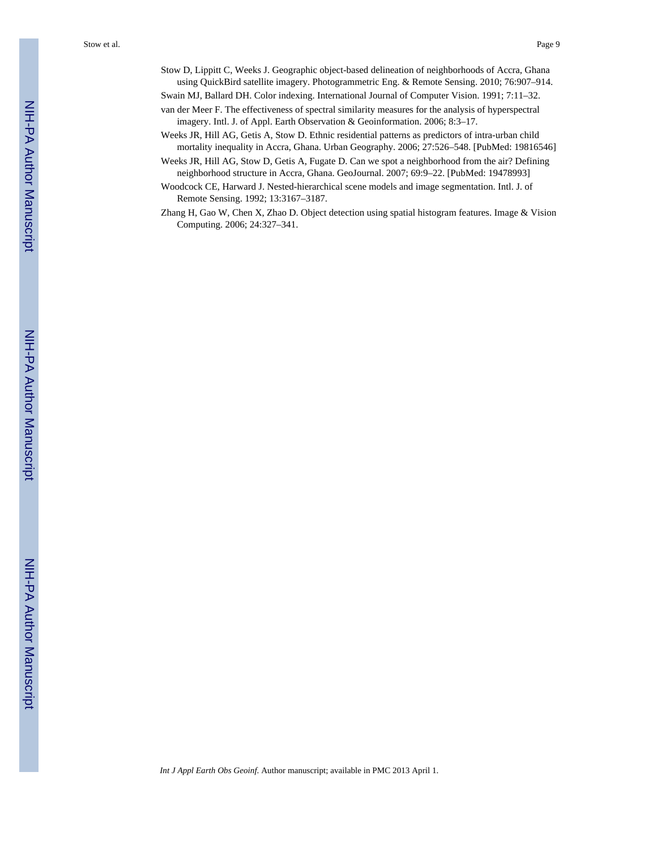Stow et al. Page 9

Stow D, Lippitt C, Weeks J. Geographic object-based delineation of neighborhoods of Accra, Ghana using QuickBird satellite imagery. Photogrammetric Eng. & Remote Sensing. 2010; 76:907–914.

Swain MJ, Ballard DH. Color indexing. International Journal of Computer Vision. 1991; 7:11–32.

- van der Meer F. The effectiveness of spectral similarity measures for the analysis of hyperspectral imagery. Intl. J. of Appl. Earth Observation & Geoinformation. 2006; 8:3–17.
- Weeks JR, Hill AG, Getis A, Stow D. Ethnic residential patterns as predictors of intra-urban child mortality inequality in Accra, Ghana. Urban Geography. 2006; 27:526–548. [PubMed: 19816546]

Weeks JR, Hill AG, Stow D, Getis A, Fugate D. Can we spot a neighborhood from the air? Defining neighborhood structure in Accra, Ghana. GeoJournal. 2007; 69:9–22. [PubMed: 19478993]

- Woodcock CE, Harward J. Nested-hierarchical scene models and image segmentation. Intl. J. of Remote Sensing. 1992; 13:3167–3187.
- Zhang H, Gao W, Chen X, Zhao D. Object detection using spatial histogram features. Image & Vision Computing. 2006; 24:327–341.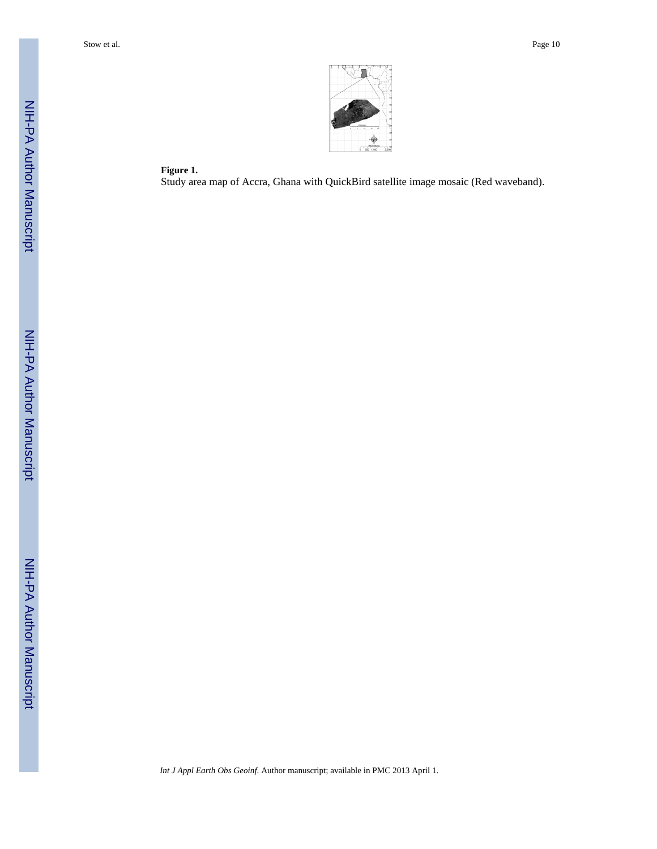

#### **Figure 1.**

Study area map of Accra, Ghana with QuickBird satellite image mosaic (Red waveband).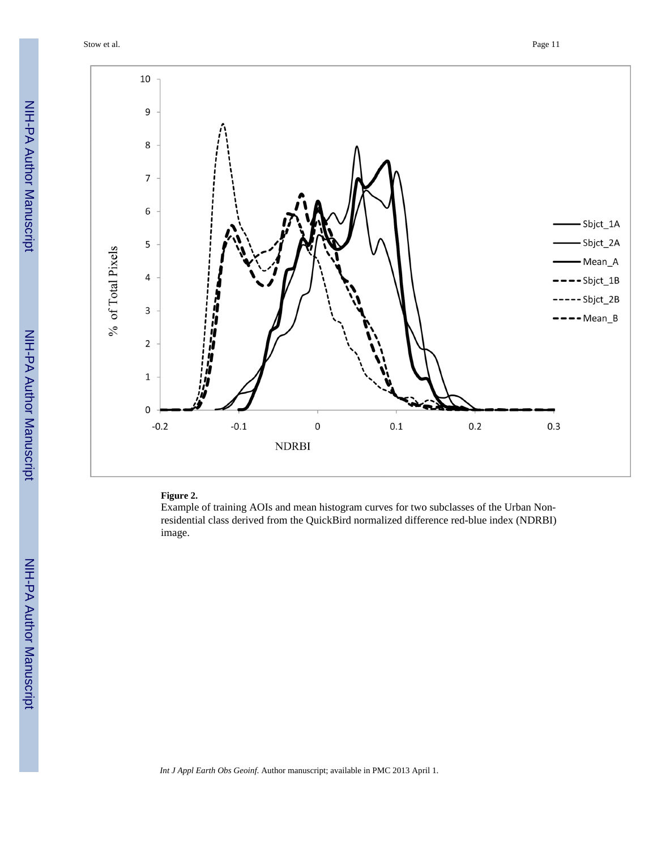Stow et al. Page 11



#### **Figure 2.**

Example of training AOIs and mean histogram curves for two subclasses of the Urban Nonresidential class derived from the QuickBird normalized difference red-blue index (NDRBI) image.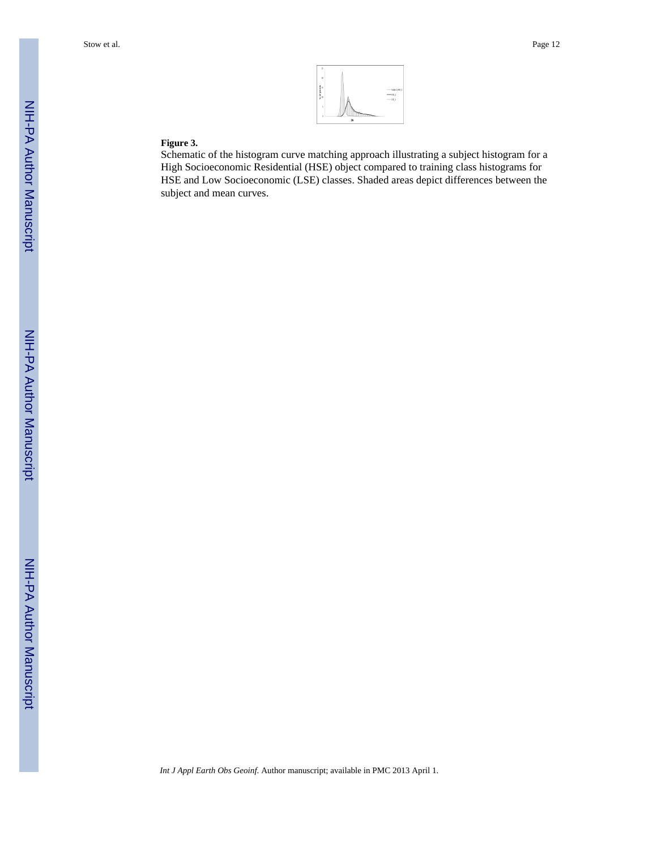

#### **Figure 3.**

Schematic of the histogram curve matching approach illustrating a subject histogram for a High Socioeconomic Residential (HSE) object compared to training class histograms for HSE and Low Socioeconomic (LSE) classes. Shaded areas depict differences between the subject and mean curves.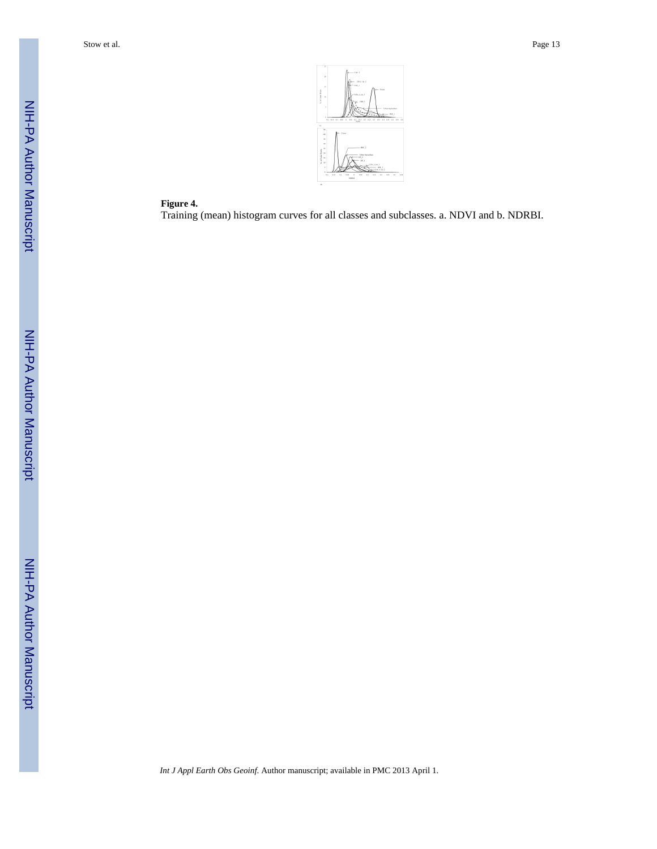

#### **Figure 4.**

Training (mean) histogram curves for all classes and subclasses. a. NDVI and b. NDRBI.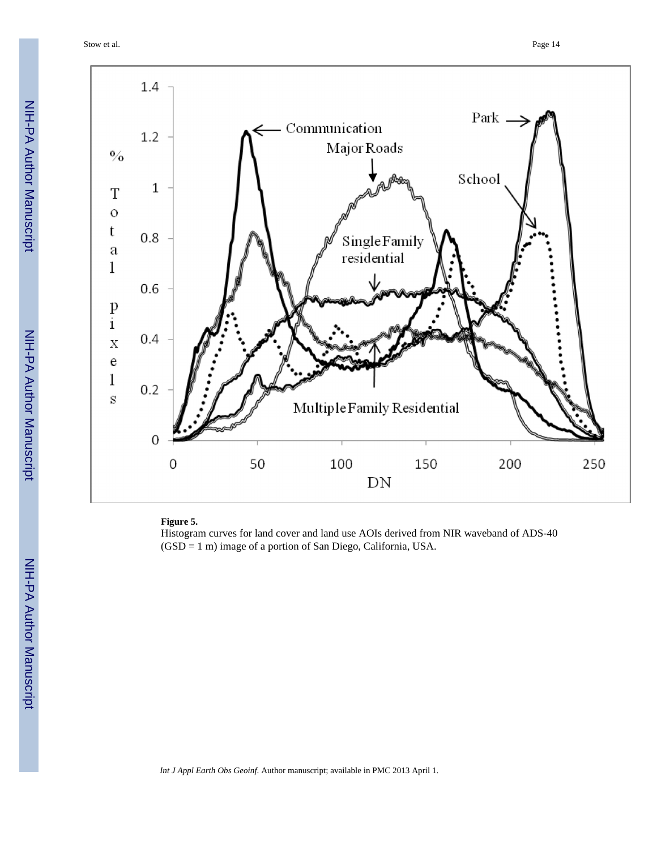Stow et al. Page 14



#### **Figure 5.**

Histogram curves for land cover and land use AOIs derived from NIR waveband of ADS-40 (GSD = 1 m) image of a portion of San Diego, California, USA.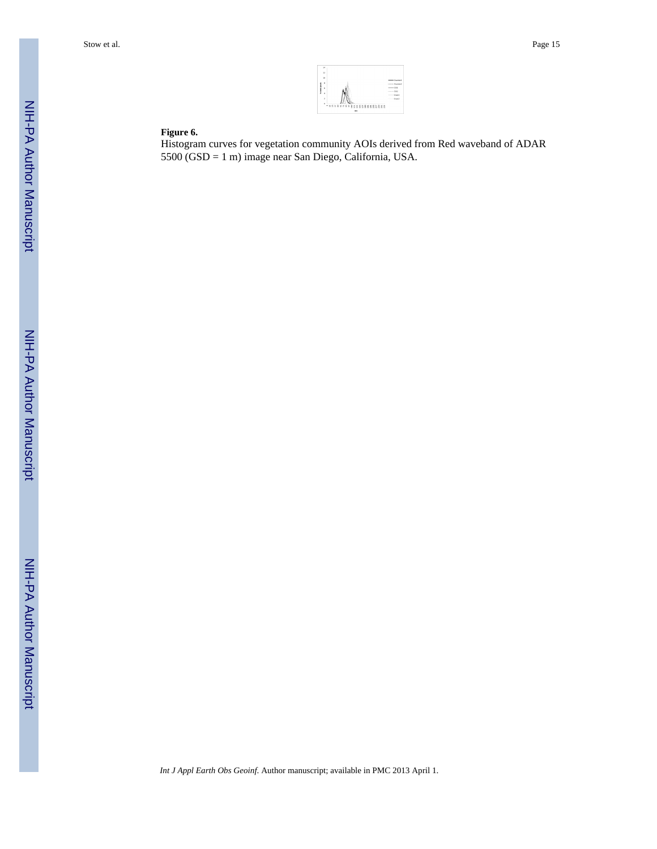

#### **Figure 6.**

Histogram curves for vegetation community AOIs derived from Red waveband of ADAR 5500 (GSD = 1 m) image near San Diego, California, USA.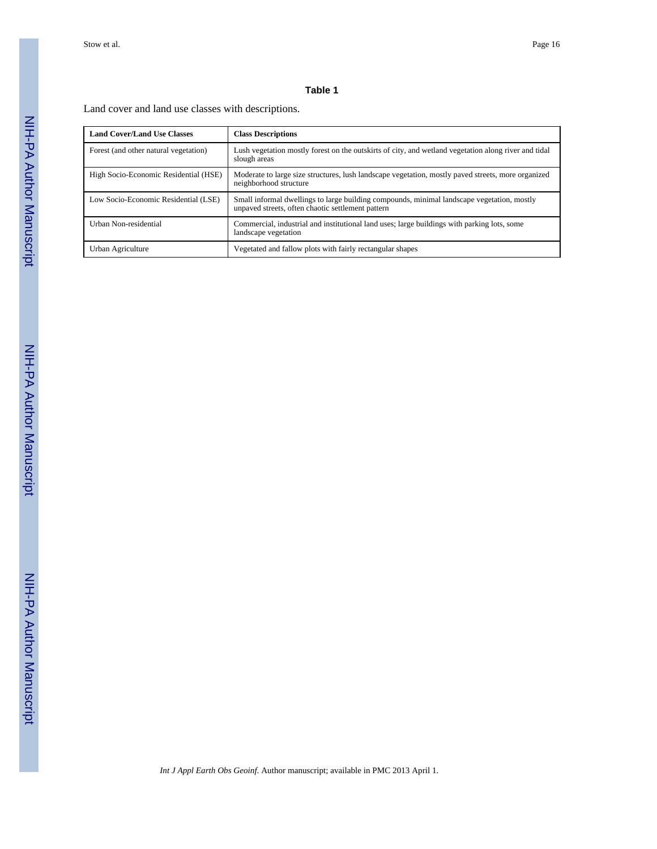Land cover and land use classes with descriptions.

| <b>Land Cover/Land Use Classes</b>    | <b>Class Descriptions</b>                                                                                                                       |
|---------------------------------------|-------------------------------------------------------------------------------------------------------------------------------------------------|
| Forest (and other natural vegetation) | Lush vegetation mostly forest on the outskirts of city, and wetland vegetation along river and tidal<br>slough areas                            |
| High Socio-Economic Residential (HSE) | Moderate to large size structures, lush landscape vegetation, mostly paved streets, more organized<br>neighborhood structure                    |
| Low Socio-Economic Residential (LSE)  | Small informal dwellings to large building compounds, minimal landscape vegetation, mostly<br>unpaved streets, often chaotic settlement pattern |
| Urban Non-residential                 | Commercial, industrial and institutional land uses; large buildings with parking lots, some<br>landscape vegetation                             |
| Urban Agriculture                     | Vegetated and fallow plots with fairly rectangular shapes                                                                                       |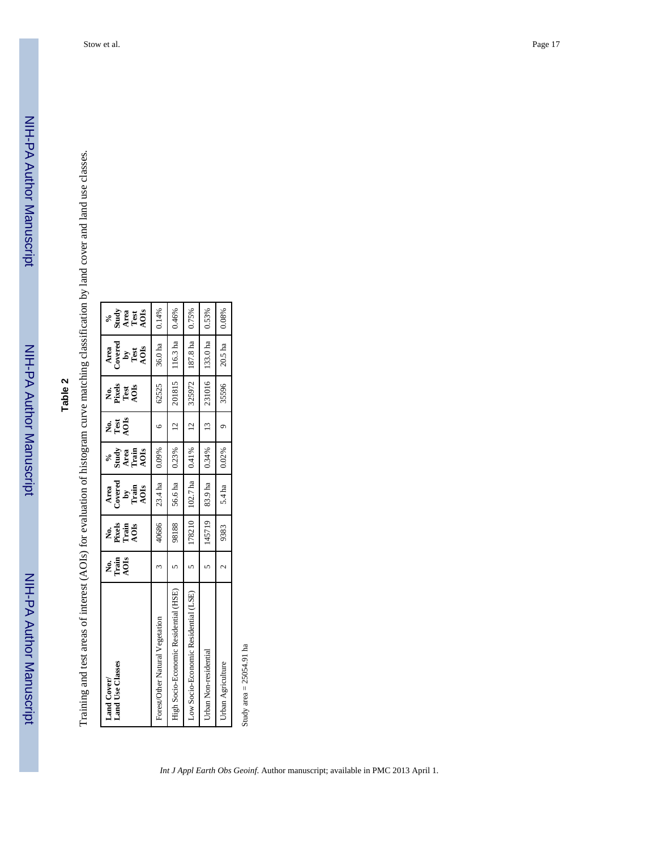Training and test areas of interest (AOIs) for evaluation of histogram curve matching classification by land cover and land use classes. Training and test areas of interest (AOIs) for evaluation of histogram curve matching classification by land cover and land use classes.

| Land Cover/<br>Land Use Classes       | No.<br>Frain<br>AOIS | No.<br>Pixels<br>Prain<br>AOIs | Area<br>Covered<br>Prain<br>AOIs | %<br>Study<br>Arain<br>AOLS | <b>SEE</b>     | <b>Se ja</b><br>Pieti<br>AQI | Area<br>Covered<br>Pest<br>AOIs | s<br>Stream<br>And<br>AOLS |
|---------------------------------------|----------------------|--------------------------------|----------------------------------|-----------------------------|----------------|------------------------------|---------------------------------|----------------------------|
| Forest/Other Natural Vegetation       |                      | 40686                          | 23.4 ha                          | 0.09%                       |                | 62525                        | 36.0 ha                         | 0.14%                      |
| High Socio-Economic Residential (HSE) |                      | 98188                          | 56.6 ha                          | $-0.23%$                    | 12             | 201815                       | 116.3 ha                        | 0.46%                      |
| Low Socio-Economic Residential (LSE)  |                      | 178210                         | $102.7$ ha $ 0.41\%$             |                             | $\frac{12}{2}$ | 325972                       | 187.8 ha                        | 0.75%                      |
| Urban Non-residential                 |                      | 145719                         | 83.9 ha                          | 0.34%                       | $\frac{13}{2}$ | 231016                       | 133.0 ha                        | 0.53%                      |
| Urban Agriculture                     |                      | 9383                           | 5.4 ha                           | 0.02%                       |                | 35596                        | 20.5 ha                         | 0.08%                      |

Study area  $= 25054.91$  ha Study area  $= 25054.91$  ha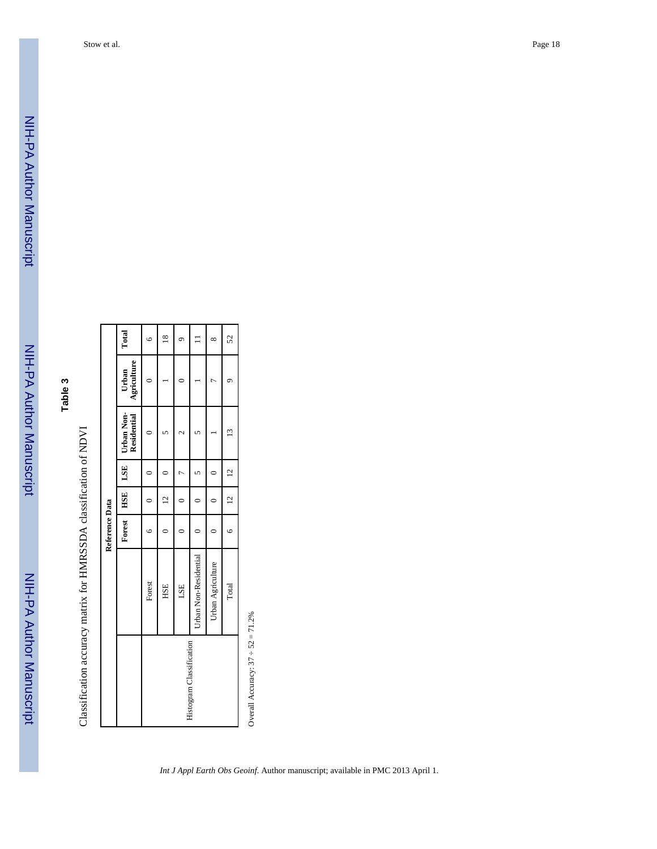| $\overline{a}$                                 |
|------------------------------------------------|
|                                                |
|                                                |
|                                                |
|                                                |
| i                                              |
| こくしょく りゅうじょく                                   |
|                                                |
|                                                |
| í                                              |
|                                                |
|                                                |
|                                                |
|                                                |
|                                                |
| ĺ                                              |
| しんてんしょう<br>$\mathbf{I}$                        |
|                                                |
|                                                |
|                                                |
|                                                |
|                                                |
|                                                |
|                                                |
|                                                |
|                                                |
|                                                |
|                                                |
| ֧֧֧֧ׅ֧֧֧֧֧֧֧֛֚֚֚֚֚֚֚֚֚֚֚֚֚֚֚֚֚֚֚֚֚֚֚֚֝֓֜֝֜֜֜֜֜ |
|                                                |
|                                                |
|                                                |
|                                                |
| こうきょく うちょうしん くちょうくく くくしょくしゅう                   |
|                                                |
|                                                |
|                                                |
|                                                |
|                                                |
| י<br>י                                         |
|                                                |
|                                                |

|                | Total                                 | $\circ$ | $\frac{8}{18}$ |                          | $\equiv$              | ∞                 | 52             |
|----------------|---------------------------------------|---------|----------------|--------------------------|-----------------------|-------------------|----------------|
|                | Urban<br>Agriculture                  |         |                |                          |                       |                   |                |
|                | Residential<br>HSE   LSE   Urban Non- |         |                |                          |                       |                   | S              |
|                |                                       |         |                |                          |                       |                   | $\overline{2}$ |
|                |                                       |         | $\overline{c}$ |                          |                       |                   | $\overline{5}$ |
| Reference Data | Forest                                |         |                |                          |                       |                   |                |
|                |                                       | Forest  | HSE            | LSE                      | Urban Non-Residential | Urban Agriculture | Total          |
|                |                                       |         |                | Histogram Classification |                       |                   |                |

Overall Accuracy:  $37 \div 52 = 71.2\%$ Overall Accuracy:  $37 \div 52 = 71.2\%$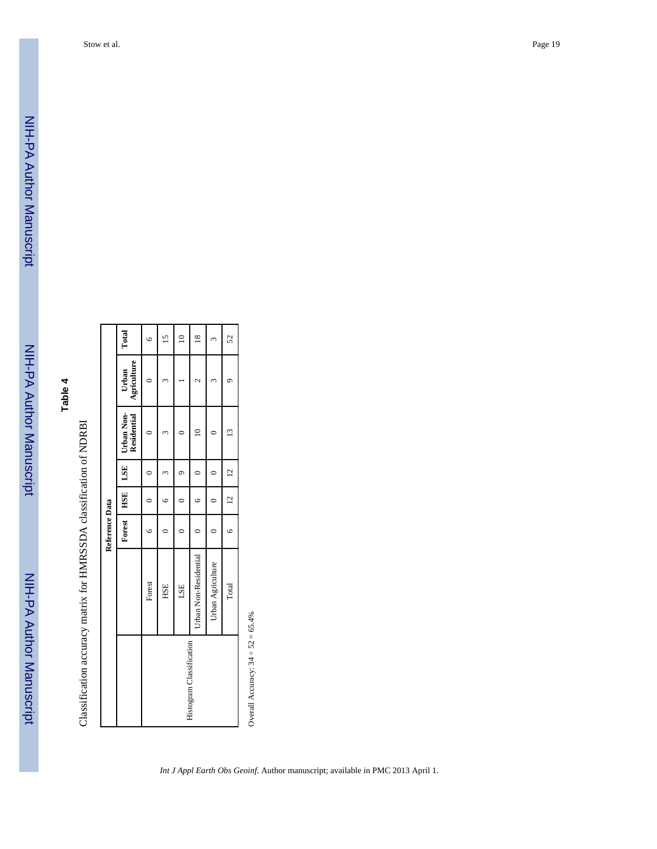| <br> <br> <br>l |
|-----------------|
|                 |
|                 |
|                 |
| .<br>د          |
| くてきくてきてつ        |
|                 |
|                 |
|                 |
|                 |
|                 |
| l               |
|                 |
| イスて ( 「 「 」     |
|                 |
|                 |
|                 |
|                 |
|                 |
|                 |
|                 |
|                 |
|                 |
| ì               |
| TT 2007 000 17  |
|                 |
|                 |
|                 |
|                 |
| いく くうこく くく      |
|                 |
| こうしょう ちょうこう     |
|                 |
|                 |
|                 |
| - 1<br>1<br>1   |
|                 |
| i<br>i          |

|                | Total                                 |        | $\overline{5}$                                           | $\overline{a}$           | $\frac{8}{2}$ |  | 52             |  |  |
|----------------|---------------------------------------|--------|----------------------------------------------------------|--------------------------|---------------|--|----------------|--|--|
|                | Agriculture<br>Urban                  |        |                                                          |                          |               |  |                |  |  |
|                | HSE   LSE   Urban Non-<br>Residential |        |                                                          |                          |               |  | Ľ              |  |  |
|                |                                       |        |                                                          |                          |               |  | $\overline{c}$ |  |  |
|                |                                       |        | ٥                                                        |                          | c             |  | $\frac{12}{2}$ |  |  |
| Reference Data | Forest                                |        |                                                          |                          |               |  |                |  |  |
|                |                                       | Forest | Urban Non-Residential<br>Urban Agriculture<br>HSE<br>LSE |                          |               |  |                |  |  |
|                |                                       |        |                                                          | Histogram Classification |               |  |                |  |  |

Overall Accuracy:  $34 \div 52 = 65.4\%$ Overall Accuracy:  $34 \div 52 = 65.4\%$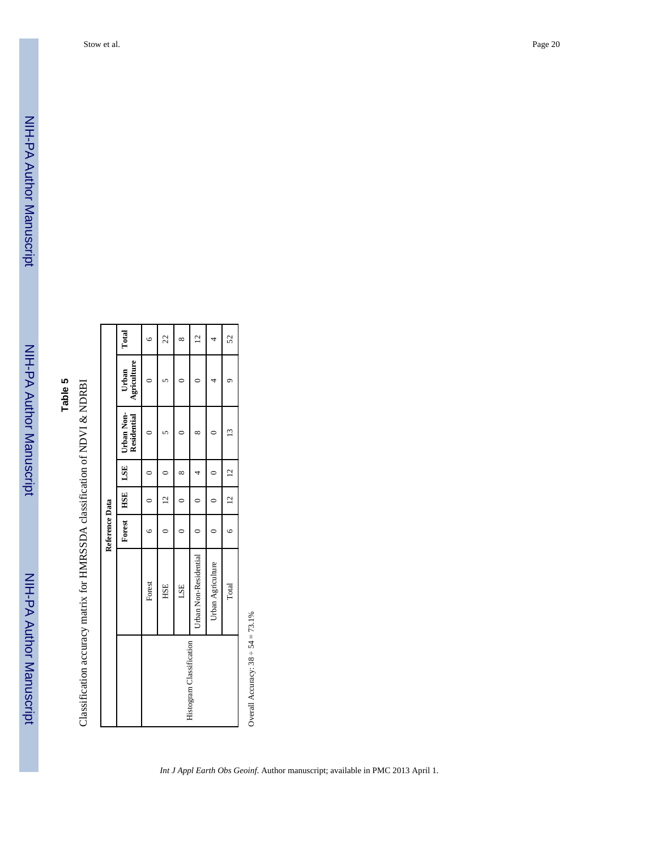Classification accuracy matrix for HMRSSDA classification of NDVI & NDRBI Classification accuracy matrix for HMRSSDA classification of NDVI & NDRBI

|                | Total                           | o      | 22                                                       | ∞                        | $\overline{c}$ |  | 52             |  |  |
|----------------|---------------------------------|--------|----------------------------------------------------------|--------------------------|----------------|--|----------------|--|--|
|                | Agriculture<br>Urban            |        |                                                          |                          |                |  |                |  |  |
|                | LSE   Urban Non-<br>Residential |        |                                                          |                          | ∝              |  | Ľ              |  |  |
|                |                                 |        |                                                          |                          |                |  | $\overline{c}$ |  |  |
|                |                                 |        | $\overline{c}$                                           |                          |                |  | 12             |  |  |
| Reference Data | Forest   HSE                    |        |                                                          |                          |                |  |                |  |  |
|                |                                 | Forest | Urban Non-Residential<br>Urban Agriculture<br>HSE<br>LSE |                          |                |  |                |  |  |
|                |                                 |        |                                                          | Histogram Classification |                |  |                |  |  |

Overall Accuracy:  $38 \div 54 = 73.1\%$ Overall Accuracy: 38 ÷ 54 = 73.1%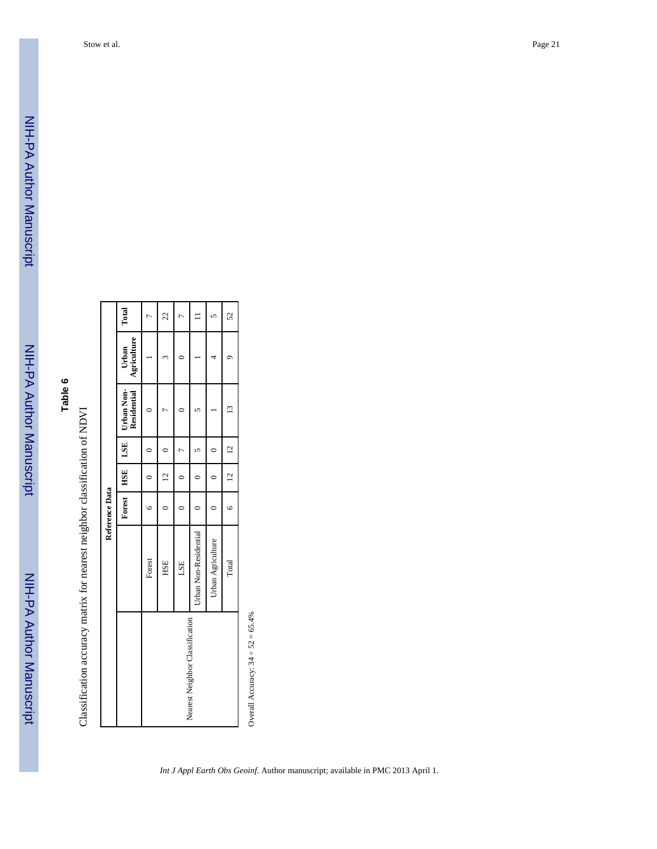Classification accuracy matrix for nearest neighbor classification of NDVI Classification accuracy matrix for nearest neighbor classification of NDVI

|                | Total                                            |        | $\overline{c}$    |                                 |  |  | 52             |
|----------------|--------------------------------------------------|--------|-------------------|---------------------------------|--|--|----------------|
|                | Agriculture<br>Urban                             |        |                   |                                 |  |  |                |
|                | Forest   HSE   LSE   Urban Non-<br>  Residential |        |                   |                                 |  |  | $\frac{3}{2}$  |
|                |                                                  |        |                   |                                 |  |  | $\overline{c}$ |
|                |                                                  |        | $\overline{c}$    |                                 |  |  | 12             |
| Reference Data |                                                  |        |                   |                                 |  |  |                |
|                |                                                  | Forest | Urban Agriculture | Total                           |  |  |                |
|                |                                                  |        |                   | Nearest Neighbor Classification |  |  |                |

Overall Accuracy:  $34 \div 52 = 65.4\%$ Overall Accuracy:  $34 \div 52 = 65.4\%$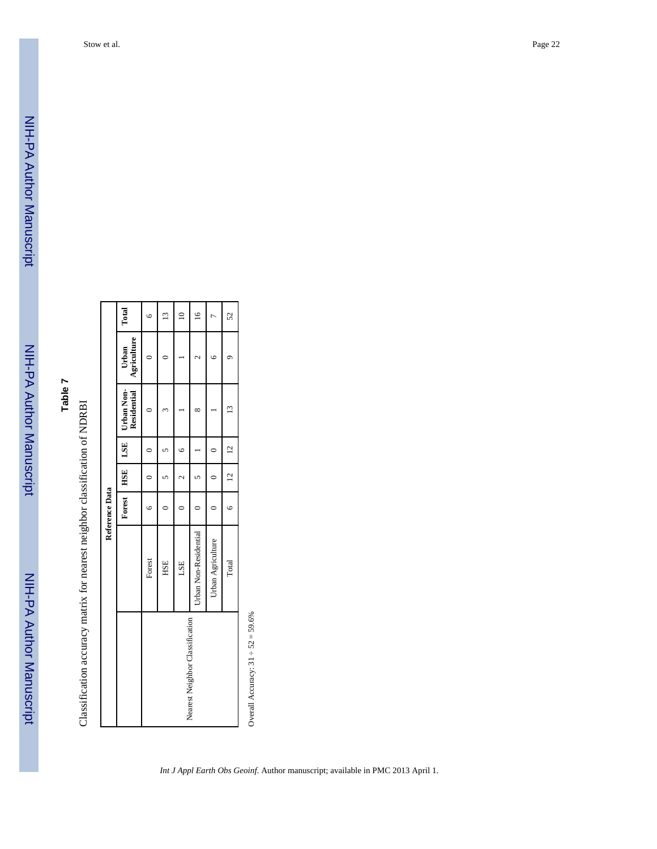Classification accuracy matrix for nearest neighbor classification of NDRBI Classification accuracy matrix for nearest neighbor classification of NDRBI

|                | Total                                              |        | $\overline{13}$                                                   | $\overline{a}$                  | $\leq$ |  | 52             |  |  |  |
|----------------|----------------------------------------------------|--------|-------------------------------------------------------------------|---------------------------------|--------|--|----------------|--|--|--|
|                | Agriculture<br>Urban                               |        |                                                                   |                                 |        |  |                |  |  |  |
|                | Forest   HSE   LSE   Urban Non-  <br>  Residential |        |                                                                   |                                 |        |  | m              |  |  |  |
|                |                                                    |        |                                                                   | c                               |        |  | $\overline{c}$ |  |  |  |
|                |                                                    |        |                                                                   |                                 |        |  | $\frac{12}{2}$ |  |  |  |
| Reference Data |                                                    |        |                                                                   |                                 |        |  |                |  |  |  |
|                |                                                    | Forest | Urban Non-Residential<br>Urban Agriculture<br>HSE<br>Total<br>LSE |                                 |        |  |                |  |  |  |
|                |                                                    |        |                                                                   | Nearest Neighbor Classification |        |  |                |  |  |  |

Overall Accuracy:  $31 \div 52 = 59.6\%$ Overall Accuracy:  $31 \div 52 = 59.6\%$